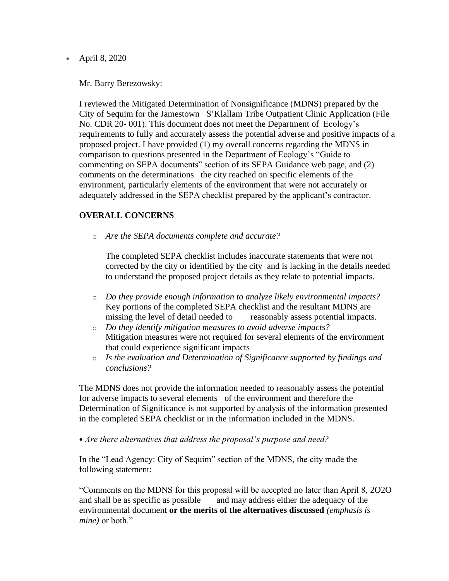• April 8, 2020

Mr. Barry Berezowsky:

I reviewed the Mitigated Determination of Nonsignificance (MDNS) prepared by the City of Sequim for the Jamestown S'Klallam Tribe Outpatient Clinic Application (File No. CDR 20- 001). This document does not meet the Department of Ecology's requirements to fully and accurately assess the potential adverse and positive impacts of a proposed project. I have provided (1) my overall concerns regarding the MDNS in comparison to questions presented in the Department of Ecology's "Guide to commenting on SEPA documents" section of its SEPA Guidance web page, and (2) comments on the determinations the city reached on specific elements of the environment, particularly elements of the environment that were not accurately or adequately addressed in the SEPA checklist prepared by the applicant's contractor.

## **OVERALL CONCERNS**

o *Are the SEPA documents complete and accurate?*

The completed SEPA checklist includes inaccurate statements that were not corrected by the city or identified by the city and is lacking in the details needed to understand the proposed project details as they relate to potential impacts.

- o *Do they provide enough information to analyze likely environmental impacts?* Key portions of the completed SEPA checklist and the resultant MDNS are missing the level of detail needed to reasonably assess potential impacts.
- o *Do they identify mitigation measures to avoid adverse impacts?* Mitigation measures were not required for several elements of the environment that could experience significant impacts
- o *Is the evaluation and Determination of Significance supported by findings and conclusions?*

The MDNS does not provide the information needed to reasonably assess the potential for adverse impacts to several elements of the environment and therefore the Determination of Significance is not supported by analysis of the information presented in the completed SEPA checklist or in the information included in the MDNS.

• *Are there alternatives that address the proposal's purpose and need?*

In the "Lead Agency: City of Sequim" section of the MDNS, the city made the following statement:

"Comments on the MDNS for this proposal will be accepted no later than April 8, 2O2O and shall be as specific as possible and may address either the adequacy of the environmental document **or the merits of the alternatives discussed** *(emphasis is mine)* or both."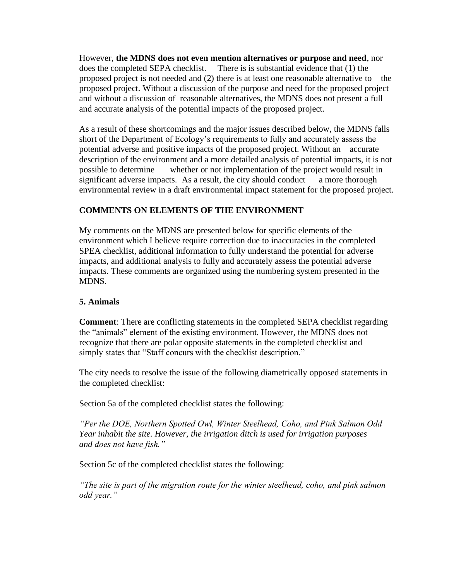However, **the MDNS does not even mention alternatives or purpose and need**, nor does the completed SEPA checklist. There is is substantial evidence that (1) the proposed project is not needed and (2) there is at least one reasonable alternative to the proposed project. Without a discussion of the purpose and need for the proposed project and without a discussion of reasonable alternatives, the MDNS does not present a full and accurate analysis of the potential impacts of the proposed project.

As a result of these shortcomings and the major issues described below, the MDNS falls short of the Department of Ecology's requirements to fully and accurately assess the potential adverse and positive impacts of the proposed project. Without an accurate description of the environment and a more detailed analysis of potential impacts, it is not possible to determine whether or not implementation of the project would result in significant adverse impacts. As a result, the city should conduct a more thorough environmental review in a draft environmental impact statement for the proposed project.

## **COMMENTS ON ELEMENTS OF THE ENVIRONMENT**

My comments on the MDNS are presented below for specific elements of the environment which I believe require correction due to inaccuracies in the completed SPEA checklist, additional information to fully understand the potential for adverse impacts, and additional analysis to fully and accurately assess the potential adverse impacts. These comments are organized using the numbering system presented in the MDNS.

## **5. Animals**

**Comment**: There are conflicting statements in the completed SEPA checklist regarding the "animals" element of the existing environment. However, the MDNS does not recognize that there are polar opposite statements in the completed checklist and simply states that "Staff concurs with the checklist description."

The city needs to resolve the issue of the following diametrically opposed statements in the completed checklist:

Section 5a of the completed checklist states the following:

*"Per the DOE, Northern Spotted Owl, Winter Steelhead, Coho, and Pink Salmon Odd Year inhabit the site. However, the irrigation ditch is used for irrigation purposes and does not have fish."*

Section 5c of the completed checklist states the following:

*"The site is part of the migration route for the winter steelhead, coho, and pink salmon odd year."*